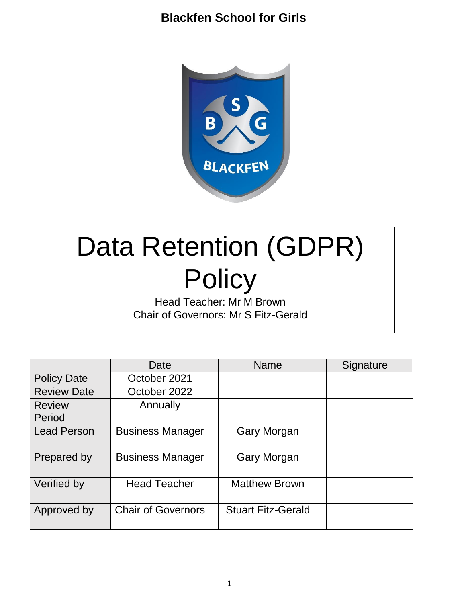

# Data Retention (GDPR) **Policy**

Head Teacher: Mr M Brown Chair of Governors: Mr S Fitz-Gerald

|                         | Date                      | <b>Name</b>               | Signature |
|-------------------------|---------------------------|---------------------------|-----------|
| <b>Policy Date</b>      | October 2021              |                           |           |
| <b>Review Date</b>      | October 2022              |                           |           |
| <b>Review</b><br>Period | Annually                  |                           |           |
| <b>Lead Person</b>      | <b>Business Manager</b>   | <b>Gary Morgan</b>        |           |
| Prepared by             | <b>Business Manager</b>   | Gary Morgan               |           |
| Verified by             | <b>Head Teacher</b>       | <b>Matthew Brown</b>      |           |
| Approved by             | <b>Chair of Governors</b> | <b>Stuart Fitz-Gerald</b> |           |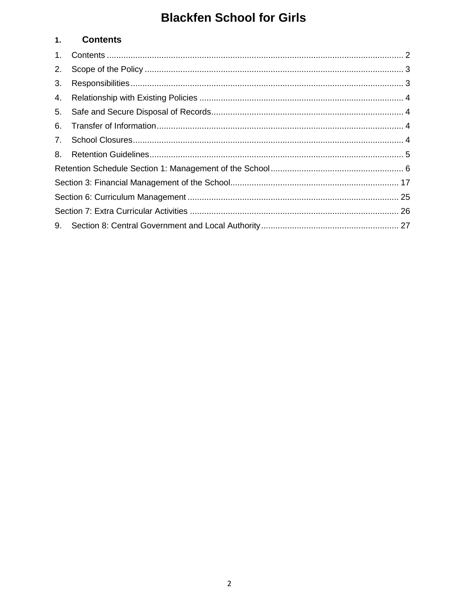#### <span id="page-1-0"></span>**Contents**  $1.$

| 2. |  |
|----|--|
| 3. |  |
| 4. |  |
| 5. |  |
| 6. |  |
|    |  |
| 8. |  |
|    |  |
|    |  |
|    |  |
|    |  |
|    |  |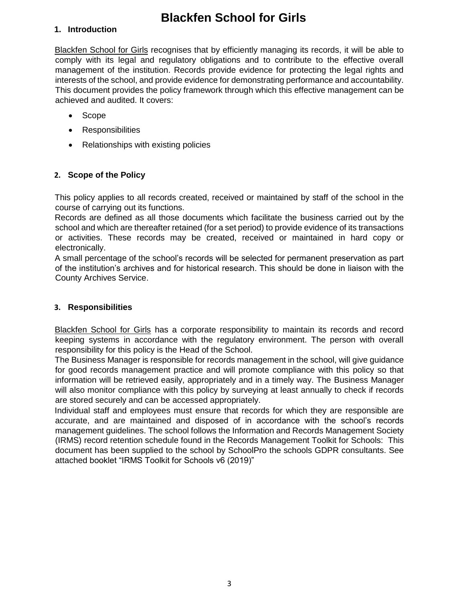#### **1. Introduction**

Blackfen School for Girls recognises that by efficiently managing its records, it will be able to comply with its legal and regulatory obligations and to contribute to the effective overall management of the institution. Records provide evidence for protecting the legal rights and interests of the school, and provide evidence for demonstrating performance and accountability. This document provides the policy framework through which this effective management can be achieved and audited. It covers:

- Scope
- Responsibilities
- Relationships with existing policies

#### <span id="page-2-0"></span>**2. Scope of the Policy**

This policy applies to all records created, received or maintained by staff of the school in the course of carrying out its functions.

Records are defined as all those documents which facilitate the business carried out by the school and which are thereafter retained (for a set period) to provide evidence of its transactions or activities. These records may be created, received or maintained in hard copy or electronically.

A small percentage of the school's records will be selected for permanent preservation as part of the institution's archives and for historical research. This should be done in liaison with the County Archives Service.

#### <span id="page-2-1"></span>**3. Responsibilities**

Blackfen School for Girls has a corporate responsibility to maintain its records and record keeping systems in accordance with the regulatory environment. The person with overall responsibility for this policy is the Head of the School.

The Business Manager is responsible for records management in the school, will give guidance for good records management practice and will promote compliance with this policy so that information will be retrieved easily, appropriately and in a timely way. The Business Manager will also monitor compliance with this policy by surveying at least annually to check if records are stored securely and can be accessed appropriately.

Individual staff and employees must ensure that records for which they are responsible are accurate, and are maintained and disposed of in accordance with the school's records management guidelines. The school follows the Information and Records Management Society (IRMS) record retention schedule found in the Records Management Toolkit for Schools: This document has been supplied to the school by SchoolPro the schools GDPR consultants. See attached booklet "IRMS Toolkit for Schools v6 (2019)"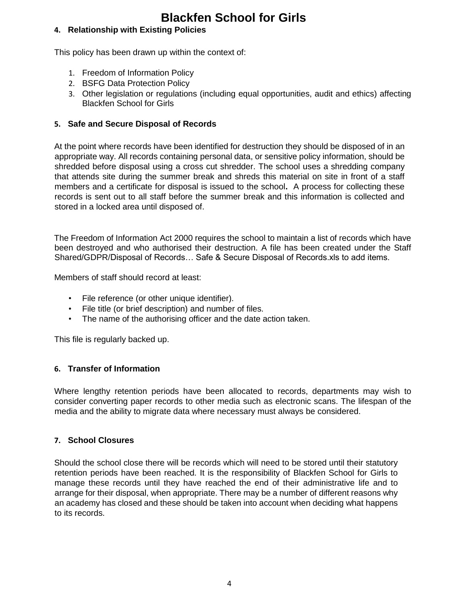### <span id="page-3-0"></span>**4. Relationship with Existing Policies**

This policy has been drawn up within the context of:

- 1. Freedom of Information Policy
- 2. BSFG Data Protection Policy
- 3. Other legislation or regulations (including equal opportunities, audit and ethics) affecting Blackfen School for Girls

#### <span id="page-3-1"></span>**5. Safe and Secure Disposal of Records**

At the point where records have been identified for destruction they should be disposed of in an appropriate way. All records containing personal data, or sensitive policy information, should be shredded before disposal using a cross cut shredder. The school uses a shredding company that attends site during the summer break and shreds this material on site in front of a staff members and a certificate for disposal is issued to the school**.** A process for collecting these records is sent out to all staff before the summer break and this information is collected and stored in a locked area until disposed of.

The Freedom of Information Act 2000 requires the school to maintain a list of records which have been destroyed and who authorised their destruction. A file has been created under the Staff Shared/GDPR/Disposal of Records… Safe & Secure Disposal of Records.xls to add items.

Members of staff should record at least:

- File reference (or other unique identifier).
- File title (or brief description) and number of files.
- The name of the authorising officer and the date action taken.

This file is regularly backed up.

#### <span id="page-3-2"></span>**6. Transfer of Information**

Where lengthy retention periods have been allocated to records, departments may wish to consider converting paper records to other media such as electronic scans. The lifespan of the media and the ability to migrate data where necessary must always be considered.

#### <span id="page-3-3"></span>**7. School Closures**

Should the school close there will be records which will need to be stored until their statutory retention periods have been reached. It is the responsibility of Blackfen School for Girls to manage these records until they have reached the end of their administrative life and to arrange for their disposal, when appropriate. There may be a number of different reasons why an academy has closed and these should be taken into account when deciding what happens to its records.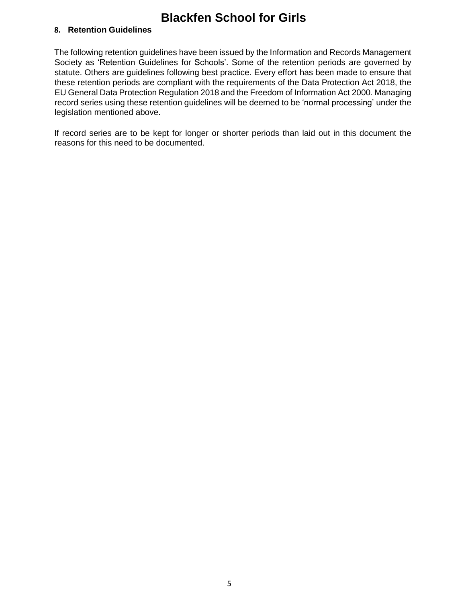#### <span id="page-4-0"></span>**8. Retention Guidelines**

The following retention guidelines have been issued by the Information and Records Management Society as 'Retention Guidelines for Schools'. Some of the retention periods are governed by statute. Others are guidelines following best practice. Every effort has been made to ensure that these retention periods are compliant with the requirements of the Data Protection Act 2018, the EU General Data Protection Regulation 2018 and the Freedom of Information Act 2000. Managing record series using these retention guidelines will be deemed to be 'normal processing' under the legislation mentioned above.

If record series are to be kept for longer or shorter periods than laid out in this document the reasons for this need to be documented.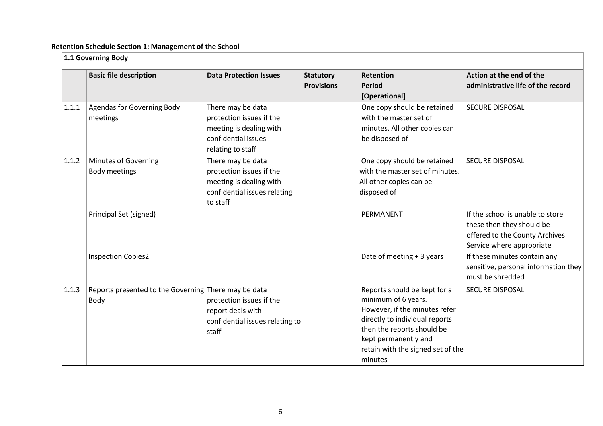#### **Retention Schedule Section 1: Management of the School**

<span id="page-5-0"></span>

|       | 1.1 Governing Body                                           |                                                                                                                      |                                       |                                                                                                                                                                                                                              |                                                                                                                              |  |  |
|-------|--------------------------------------------------------------|----------------------------------------------------------------------------------------------------------------------|---------------------------------------|------------------------------------------------------------------------------------------------------------------------------------------------------------------------------------------------------------------------------|------------------------------------------------------------------------------------------------------------------------------|--|--|
|       | <b>Basic file description</b>                                | <b>Data Protection Issues</b>                                                                                        | <b>Statutory</b><br><b>Provisions</b> | <b>Retention</b><br><b>Period</b><br>[Operational]                                                                                                                                                                           | Action at the end of the<br>administrative life of the record                                                                |  |  |
| 1.1.1 | Agendas for Governing Body<br>meetings                       | There may be data<br>protection issues if the<br>meeting is dealing with<br>confidential issues<br>relating to staff |                                       | One copy should be retained<br>with the master set of<br>minutes. All other copies can<br>be disposed of                                                                                                                     | <b>SECURE DISPOSAL</b>                                                                                                       |  |  |
| 1.1.2 | Minutes of Governing<br><b>Body meetings</b>                 | There may be data<br>protection issues if the<br>meeting is dealing with<br>confidential issues relating<br>to staff |                                       | One copy should be retained<br>with the master set of minutes.<br>All other copies can be<br>disposed of                                                                                                                     | <b>SECURE DISPOSAL</b>                                                                                                       |  |  |
|       | Principal Set (signed)                                       |                                                                                                                      |                                       | PERMANENT                                                                                                                                                                                                                    | If the school is unable to store<br>these then they should be<br>offered to the County Archives<br>Service where appropriate |  |  |
|       | <b>Inspection Copies2</b>                                    |                                                                                                                      |                                       | Date of meeting + 3 years                                                                                                                                                                                                    | If these minutes contain any<br>sensitive, personal information they<br>must be shredded                                     |  |  |
| 1.1.3 | Reports presented to the Governing There may be data<br>Body | protection issues if the<br>report deals with<br>confidential issues relating to<br>staff                            |                                       | Reports should be kept for a<br>minimum of 6 years.<br>However, if the minutes refer<br>directly to individual reports<br>then the reports should be<br>kept permanently and<br>retain with the signed set of the<br>minutes | <b>SECURE DISPOSAL</b>                                                                                                       |  |  |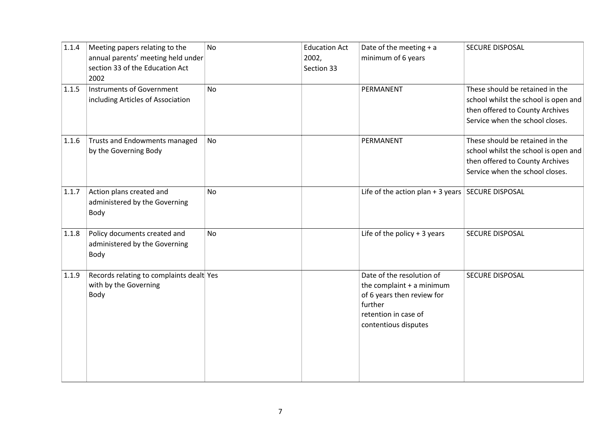| 1.1.4 | Meeting papers relating to the                                            | <b>No</b> | <b>Education Act</b> | Date of the meeting $+ a$                                                                                                                       | SECURE DISPOSAL                      |
|-------|---------------------------------------------------------------------------|-----------|----------------------|-------------------------------------------------------------------------------------------------------------------------------------------------|--------------------------------------|
|       | annual parents' meeting held under                                        |           | 2002,                | minimum of 6 years                                                                                                                              |                                      |
|       | section 33 of the Education Act                                           |           | Section 33           |                                                                                                                                                 |                                      |
|       | 2002                                                                      |           |                      |                                                                                                                                                 |                                      |
| 1.1.5 | Instruments of Government                                                 | <b>No</b> |                      | PERMANENT                                                                                                                                       | These should be retained in the      |
|       | including Articles of Association                                         |           |                      |                                                                                                                                                 | school whilst the school is open and |
|       |                                                                           |           |                      |                                                                                                                                                 | then offered to County Archives      |
|       |                                                                           |           |                      |                                                                                                                                                 | Service when the school closes.      |
| 1.1.6 | Trusts and Endowments managed                                             | No        |                      | PERMANENT                                                                                                                                       | These should be retained in the      |
|       | by the Governing Body                                                     |           |                      |                                                                                                                                                 | school whilst the school is open and |
|       |                                                                           |           |                      |                                                                                                                                                 | then offered to County Archives      |
|       |                                                                           |           |                      |                                                                                                                                                 | Service when the school closes.      |
| 1.1.7 | Action plans created and<br>administered by the Governing<br>Body         | <b>No</b> |                      | Life of the action plan + 3 years $\vert$ SECURE DISPOSAL                                                                                       |                                      |
| 1.1.8 | Policy documents created and<br>administered by the Governing<br>Body     | <b>No</b> |                      | Life of the policy $+3$ years                                                                                                                   | <b>SECURE DISPOSAL</b>               |
| 1.1.9 | Records relating to complaints dealt Yes<br>with by the Governing<br>Body |           |                      | Date of the resolution of<br>the complaint + a minimum<br>of 6 years then review for<br>further<br>retention in case of<br>contentious disputes | <b>SECURE DISPOSAL</b>               |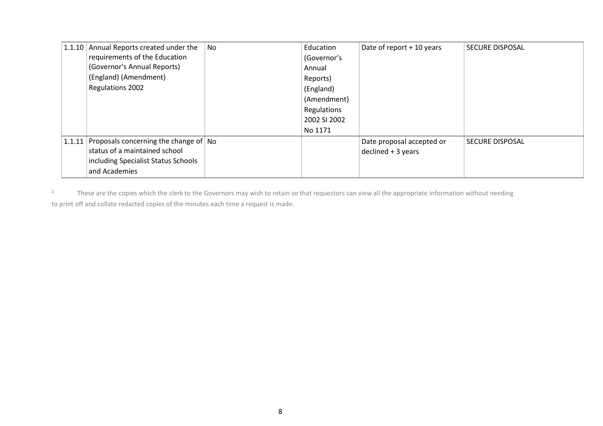| 1.1.10 | Annual Reports created under the          | No | Education    | Date of report + 10 years | <b>SECURE DISPOSAL</b> |
|--------|-------------------------------------------|----|--------------|---------------------------|------------------------|
|        | requirements of the Education             |    | (Governor's  |                           |                        |
|        | (Governor's Annual Reports)               |    | Annual       |                           |                        |
|        | (England) (Amendment)                     |    | Reports)     |                           |                        |
|        | Regulations 2002                          |    | (England)    |                           |                        |
|        |                                           |    | (Amendment)  |                           |                        |
|        |                                           |    | Regulations  |                           |                        |
|        |                                           |    | 2002 SI 2002 |                           |                        |
|        |                                           |    | No 1171      |                           |                        |
| 1.1.11 | Proposals concerning the change of $ $ No |    |              | Date proposal accepted or | <b>SECURE DISPOSAL</b> |
|        | status of a maintained school             |    |              | $decimal + 3 years$       |                        |
|        | including Specialist Status Schools       |    |              |                           |                        |
|        | and Academies                             |    |              |                           |                        |

<sup>2</sup> These are the copies which the clerk to the Governors may wish to retain so that requestors can view all the appropriate information without needing to print off and collate redacted copies of the minutes each time a request is made.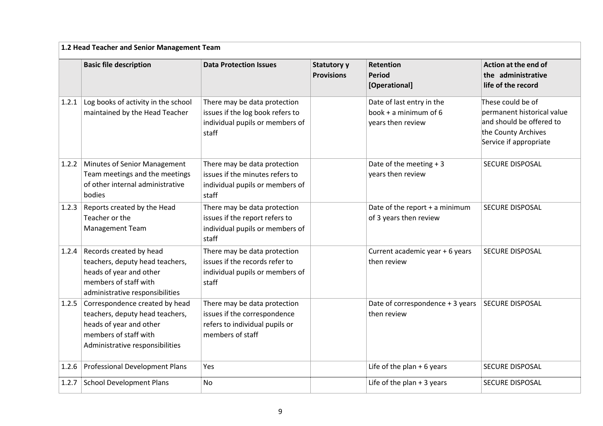| 1.2 Head Teacher and Senior Management Team |                                                                                                                                                          |                                                                                                                    |                                         |                                                                         |                                                                                                                              |  |  |
|---------------------------------------------|----------------------------------------------------------------------------------------------------------------------------------------------------------|--------------------------------------------------------------------------------------------------------------------|-----------------------------------------|-------------------------------------------------------------------------|------------------------------------------------------------------------------------------------------------------------------|--|--|
|                                             | <b>Basic file description</b><br><b>Data Protection Issues</b>                                                                                           |                                                                                                                    | <b>Statutory y</b><br><b>Provisions</b> | <b>Retention</b><br><b>Period</b><br>[Operational]                      | Action at the end of<br>the administrative<br>life of the record                                                             |  |  |
| 1.2.1                                       | Log books of activity in the school<br>maintained by the Head Teacher                                                                                    | There may be data protection<br>issues if the log book refers to<br>individual pupils or members of<br>staff       |                                         | Date of last entry in the<br>book + a minimum of 6<br>years then review | These could be of<br>permanent historical value<br>and should be offered to<br>the County Archives<br>Service if appropriate |  |  |
| 1.2.2                                       | Minutes of Senior Management<br>Team meetings and the meetings<br>of other internal administrative<br>bodies                                             | There may be data protection<br>issues if the minutes refers to<br>individual pupils or members of<br>staff        |                                         | Date of the meeting $+3$<br>years then review                           | SECURE DISPOSAL                                                                                                              |  |  |
| 1.2.3                                       | Reports created by the Head<br>Teacher or the<br>Management Team                                                                                         | There may be data protection<br>issues if the report refers to<br>individual pupils or members of<br>staff         |                                         | Date of the report $+$ a minimum<br>of 3 years then review              | SECURE DISPOSAL                                                                                                              |  |  |
| 1.2.4                                       | Records created by head<br>teachers, deputy head teachers,<br>heads of year and other<br>members of staff with<br>administrative responsibilities        | There may be data protection<br>issues if the records refer to<br>individual pupils or members of<br>staff         |                                         | Current academic year + 6 years<br>then review                          | <b>SECURE DISPOSAL</b>                                                                                                       |  |  |
| 1.2.5                                       | Correspondence created by head<br>teachers, deputy head teachers,<br>heads of year and other<br>members of staff with<br>Administrative responsibilities | There may be data protection<br>issues if the correspondence<br>refers to individual pupils or<br>members of staff |                                         | Date of correspondence + 3 years<br>then review                         | <b>SECURE DISPOSAL</b>                                                                                                       |  |  |
| 1.2.6                                       | Professional Development Plans                                                                                                                           | Yes                                                                                                                |                                         | Life of the plan $+6$ years                                             | SECURE DISPOSAL                                                                                                              |  |  |
| 1.2.7                                       | <b>School Development Plans</b>                                                                                                                          | <b>No</b>                                                                                                          |                                         | Life of the plan $+3$ years                                             | SECURE DISPOSAL                                                                                                              |  |  |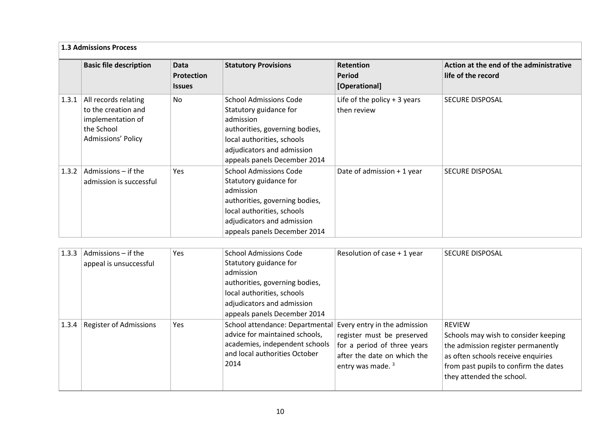|       | <b>1.3 Admissions Process</b>                                                                        |                                     |                                                                                                                                                                                                    |                                              |                                                               |  |  |
|-------|------------------------------------------------------------------------------------------------------|-------------------------------------|----------------------------------------------------------------------------------------------------------------------------------------------------------------------------------------------------|----------------------------------------------|---------------------------------------------------------------|--|--|
|       | <b>Basic file description</b>                                                                        | Data<br>Protection<br><b>Issues</b> | <b>Statutory Provisions</b>                                                                                                                                                                        | Retention<br><b>Period</b><br>[Operational]  | Action at the end of the administrative<br>life of the record |  |  |
| 1.3.1 | All records relating<br>to the creation and<br>implementation of<br>the School<br>Admissions' Policy | No.                                 | <b>School Admissions Code</b><br>Statutory guidance for<br>admission<br>authorities, governing bodies,<br>local authorities, schools<br>adjudicators and admission<br>appeals panels December 2014 | Life of the policy $+3$ years<br>then review | <b>SECURE DISPOSAL</b>                                        |  |  |
| 1.3.2 | Admissions - if the<br>admission is successful                                                       | <b>Yes</b>                          | <b>School Admissions Code</b><br>Statutory guidance for<br>admission<br>authorities, governing bodies,<br>local authorities, schools<br>adjudicators and admission<br>appeals panels December 2014 | Date of admission + 1 year                   | <b>SECURE DISPOSAL</b>                                        |  |  |

| 1.3.3 | Admissions - if the<br>appeal is unsuccessful | Yes | <b>School Admissions Code</b><br>Statutory guidance for                                                                                                                   | Resolution of case + 1 year                                                                                              | <b>SECURE DISPOSAL</b>                                                                                                                                                                                  |
|-------|-----------------------------------------------|-----|---------------------------------------------------------------------------------------------------------------------------------------------------------------------------|--------------------------------------------------------------------------------------------------------------------------|---------------------------------------------------------------------------------------------------------------------------------------------------------------------------------------------------------|
|       |                                               |     | admission<br>authorities, governing bodies,<br>local authorities, schools<br>adjudicators and admission<br>appeals panels December 2014                                   |                                                                                                                          |                                                                                                                                                                                                         |
|       | 1.3.4 Register of Admissions                  | Yes | School attendance: Departmental Every entry in the admission<br>advice for maintained schools,<br>academies, independent schools<br>and local authorities October<br>2014 | register must be preserved<br>for a period of three years<br>after the date on which the<br>entry was made. <sup>3</sup> | <b>REVIEW</b><br>Schools may wish to consider keeping<br>the admission register permanently<br>as often schools receive enquiries<br>from past pupils to confirm the dates<br>they attended the school. |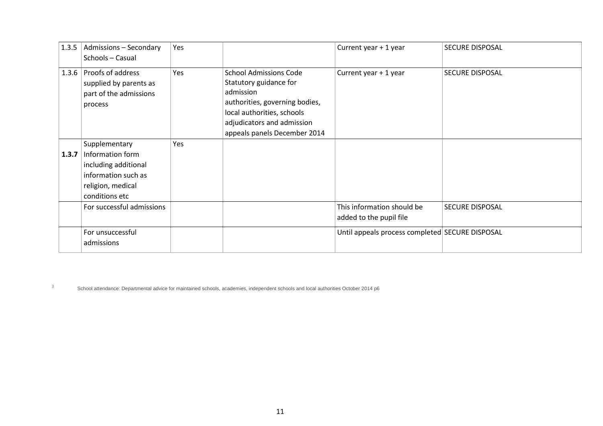|       | 1.3.5   Admissions $-$ Secondary<br>Schools - Casual                                                                    | Yes |                                                                                                                                                                                                    | Current year + 1 year                                 | <b>SECURE DISPOSAL</b> |
|-------|-------------------------------------------------------------------------------------------------------------------------|-----|----------------------------------------------------------------------------------------------------------------------------------------------------------------------------------------------------|-------------------------------------------------------|------------------------|
|       | 1.3.6   Proofs of address<br>supplied by parents as<br>part of the admissions<br>process                                | Yes | <b>School Admissions Code</b><br>Statutory guidance for<br>admission<br>authorities, governing bodies,<br>local authorities, schools<br>adjudicators and admission<br>appeals panels December 2014 | Current year + 1 year                                 | SECURE DISPOSAL        |
| 1.3.7 | Supplementary<br>Information form<br>including additional<br>information such as<br>religion, medical<br>conditions etc | Yes |                                                                                                                                                                                                    |                                                       |                        |
|       | For successful admissions                                                                                               |     |                                                                                                                                                                                                    | This information should be<br>added to the pupil file | <b>SECURE DISPOSAL</b> |
|       | For unsuccessful<br>admissions                                                                                          |     |                                                                                                                                                                                                    | Until appeals process completed SECURE DISPOSAL       |                        |

<sup>3</sup> School attendance: Departmental advice for maintained schools, academies, independent schools and local authorities October 2014 p6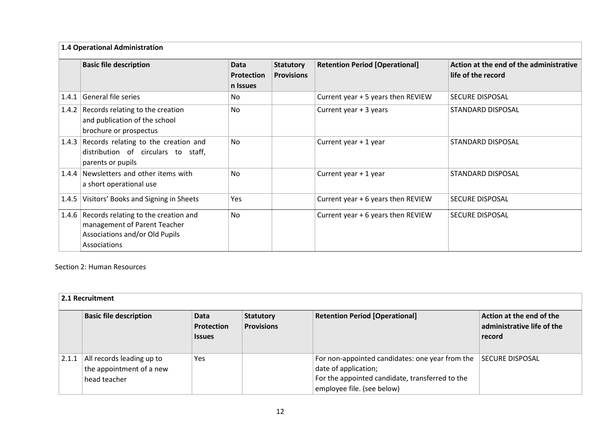|       | 1.4 Operational Administration                                                                                               |                                              |                                       |                                       |                                                               |  |  |
|-------|------------------------------------------------------------------------------------------------------------------------------|----------------------------------------------|---------------------------------------|---------------------------------------|---------------------------------------------------------------|--|--|
|       | <b>Basic file description</b>                                                                                                | <b>Data</b><br><b>Protection</b><br>n Issues | <b>Statutory</b><br><b>Provisions</b> | <b>Retention Period [Operational]</b> | Action at the end of the administrative<br>life of the record |  |  |
| 1.4.1 | General file series                                                                                                          | No                                           |                                       | Current year + 5 years then REVIEW    | <b>SECURE DISPOSAL</b>                                        |  |  |
| 1.4.2 | Records relating to the creation<br>and publication of the school<br>brochure or prospectus                                  | <b>No</b>                                    |                                       | Current year + 3 years                | STANDARD DISPOSAL                                             |  |  |
|       | 1.4.3 Records relating to the creation and<br>distribution of circulars to staff,<br>parents or pupils                       | <b>No</b>                                    |                                       | Current year + 1 year                 | <b>STANDARD DISPOSAL</b>                                      |  |  |
|       | 1.4.4 Newsletters and other items with<br>a short operational use                                                            | <b>No</b>                                    |                                       | Current year + 1 year                 | STANDARD DISPOSAL                                             |  |  |
|       | 1.4.5 Visitors' Books and Signing in Sheets                                                                                  | Yes                                          |                                       | Current year + 6 years then REVIEW    | <b>SECURE DISPOSAL</b>                                        |  |  |
|       | 1.4.6 Records relating to the creation and<br>management of Parent Teacher<br>Associations and/or Old Pupils<br>Associations | <b>No</b>                                    |                                       | Current year + 6 years then REVIEW    | <b>SECURE DISPOSAL</b>                                        |  |  |

Section 2: Human Resources

|       | 2.1 Recruitment                                                       |                                     |                                       |                                                                                                                                                          |                                                                  |  |  |
|-------|-----------------------------------------------------------------------|-------------------------------------|---------------------------------------|----------------------------------------------------------------------------------------------------------------------------------------------------------|------------------------------------------------------------------|--|--|
|       | <b>Basic file description</b>                                         | Data<br>Protection<br><b>Issues</b> | <b>Statutory</b><br><b>Provisions</b> | <b>Retention Period [Operational]</b>                                                                                                                    | Action at the end of the<br>administrative life of the<br>record |  |  |
| 2.1.1 | All records leading up to<br>the appointment of a new<br>head teacher | Yes                                 |                                       | For non-appointed candidates: one year from the<br>date of application;<br>For the appointed candidate, transferred to the<br>employee file. (see below) | SECURE DISPOSAL                                                  |  |  |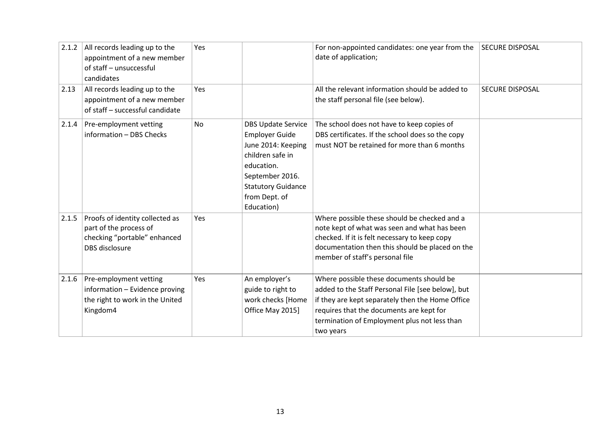| 2.1.2 | All records leading up to the<br>appointment of a new member<br>of staff - unsuccessful<br>candidates       | Yes       |                                                                                                                                                                                           | For non-appointed candidates: one year from the SECURE DISPOSAL<br>date of application;                                                                                                                                                                    |                        |
|-------|-------------------------------------------------------------------------------------------------------------|-----------|-------------------------------------------------------------------------------------------------------------------------------------------------------------------------------------------|------------------------------------------------------------------------------------------------------------------------------------------------------------------------------------------------------------------------------------------------------------|------------------------|
| 2.13  | All records leading up to the<br>appointment of a new member<br>of staff - successful candidate             | Yes       |                                                                                                                                                                                           | All the relevant information should be added to<br>the staff personal file (see below).                                                                                                                                                                    | <b>SECURE DISPOSAL</b> |
| 2.1.4 | Pre-employment vetting<br>information - DBS Checks                                                          | <b>No</b> | <b>DBS Update Service</b><br><b>Employer Guide</b><br>June 2014: Keeping<br>children safe in<br>education.<br>September 2016.<br><b>Statutory Guidance</b><br>from Dept. of<br>Education) | The school does not have to keep copies of<br>DBS certificates. If the school does so the copy<br>must NOT be retained for more than 6 months                                                                                                              |                        |
| 2.1.5 | Proofs of identity collected as<br>part of the process of<br>checking "portable" enhanced<br>DBS disclosure | Yes       |                                                                                                                                                                                           | Where possible these should be checked and a<br>note kept of what was seen and what has been<br>checked. If it is felt necessary to keep copy<br>documentation then this should be placed on the<br>member of staff's personal file                        |                        |
| 2.1.6 | Pre-employment vetting<br>information - Evidence proving<br>the right to work in the United<br>Kingdom4     | Yes       | An employer's<br>guide to right to<br>work checks [Home<br>Office May 2015]                                                                                                               | Where possible these documents should be<br>added to the Staff Personal File [see below], but<br>if they are kept separately then the Home Office<br>requires that the documents are kept for<br>termination of Employment plus not less than<br>two years |                        |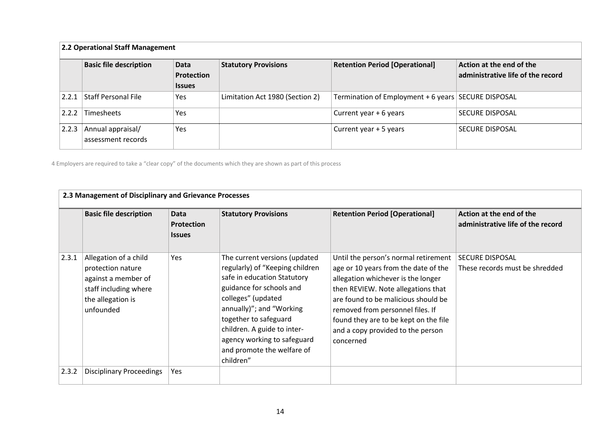|       | 2.2 Operational Staff Management                                            |            |                                 |                                                     |                                                               |  |  |  |
|-------|-----------------------------------------------------------------------------|------------|---------------------------------|-----------------------------------------------------|---------------------------------------------------------------|--|--|--|
|       | <b>Basic file description</b><br>Data<br><b>Protection</b><br><b>Issues</b> |            | <b>Statutory Provisions</b>     | <b>Retention Period [Operational]</b>               | Action at the end of the<br>administrative life of the record |  |  |  |
| 2.2.1 | <b>Staff Personal File</b>                                                  | <b>Yes</b> | Limitation Act 1980 (Section 2) | Termination of Employment + 6 years SECURE DISPOSAL |                                                               |  |  |  |
| 2.2.2 | Timesheets                                                                  | <b>Yes</b> |                                 | Current year + 6 years                              | <b>SECURE DISPOSAL</b>                                        |  |  |  |
| 2.2.3 | Annual appraisal/<br>assessment records                                     | <b>Yes</b> |                                 | Current year + 5 years                              | <b>SECURE DISPOSAL</b>                                        |  |  |  |

4 Employers are required to take a "clear copy" of the documents which they are shown as part of this process

|       | <b>Basic file description</b>                                                                                                | Data<br><b>Protection</b><br><b>Issues</b> | <b>Statutory Provisions</b>                                                                                                                                                                                                                                                                                     | <b>Retention Period [Operational]</b>                                                                                                                                                                                                                                                                                          | Action at the end of the<br>administrative life of the record |  |
|-------|------------------------------------------------------------------------------------------------------------------------------|--------------------------------------------|-----------------------------------------------------------------------------------------------------------------------------------------------------------------------------------------------------------------------------------------------------------------------------------------------------------------|--------------------------------------------------------------------------------------------------------------------------------------------------------------------------------------------------------------------------------------------------------------------------------------------------------------------------------|---------------------------------------------------------------|--|
| 2.3.1 | Allegation of a child<br>protection nature<br>against a member of<br>staff including where<br>the allegation is<br>unfounded | Yes                                        | The current versions (updated<br>regularly) of "Keeping children<br>safe in education Statutory<br>guidance for schools and<br>colleges" (updated<br>annually)"; and "Working<br>together to safeguard<br>children. A guide to inter-<br>agency working to safeguard<br>and promote the welfare of<br>children" | Until the person's normal retirement<br>age or 10 years from the date of the<br>allegation whichever is the longer<br>then REVIEW. Note allegations that<br>are found to be malicious should be<br>removed from personnel files. If<br>found they are to be kept on the file<br>and a copy provided to the person<br>concerned | <b>SECURE DISPOSAL</b><br>These records must be shredded      |  |
| 2.3.2 | <b>Disciplinary Proceedings</b>                                                                                              | Yes                                        |                                                                                                                                                                                                                                                                                                                 |                                                                                                                                                                                                                                                                                                                                |                                                               |  |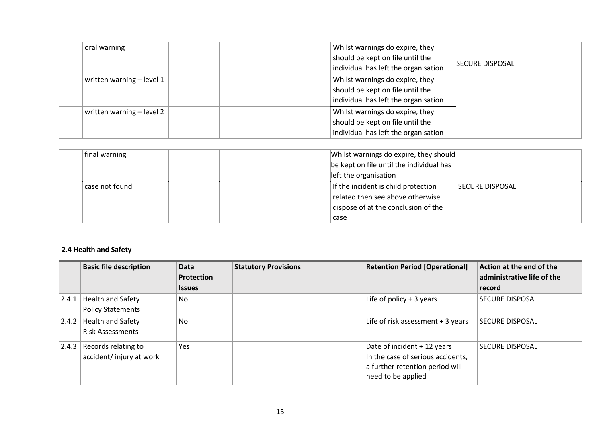| oral warning              | Whilst warnings do expire, they      |                        |
|---------------------------|--------------------------------------|------------------------|
|                           | should be kept on file until the     |                        |
|                           | individual has left the organisation | <b>SECURE DISPOSAL</b> |
| written warning – level 1 | Whilst warnings do expire, they      |                        |
|                           | should be kept on file until the     |                        |
|                           | individual has left the organisation |                        |
| written warning - level 2 | Whilst warnings do expire, they      |                        |
|                           | should be kept on file until the     |                        |
|                           | individual has left the organisation |                        |
|                           |                                      |                        |

| final warning  | Whilst warnings do expire, they should   |                        |
|----------------|------------------------------------------|------------------------|
|                | be kept on file until the individual has |                        |
|                | left the organisation                    |                        |
| case not found | If the incident is child protection      | <b>SECURE DISPOSAL</b> |
|                | related then see above otherwise         |                        |
|                | dispose of at the conclusion of the      |                        |
|                | case                                     |                        |

|       | 2.4 Health and Safety                          |                                            |                             |                                                                                                                           |                                                                  |  |  |
|-------|------------------------------------------------|--------------------------------------------|-----------------------------|---------------------------------------------------------------------------------------------------------------------------|------------------------------------------------------------------|--|--|
|       | <b>Basic file description</b>                  | Data<br><b>Protection</b><br><b>Issues</b> | <b>Statutory Provisions</b> | <b>Retention Period [Operational]</b>                                                                                     | Action at the end of the<br>administrative life of the<br>record |  |  |
| 2.4.1 | Health and Safety<br><b>Policy Statements</b>  | No.                                        |                             | Life of policy $+3$ years                                                                                                 | <b>SECURE DISPOSAL</b>                                           |  |  |
| 2.4.2 | Health and Safety<br><b>Risk Assessments</b>   | No                                         |                             | Life of risk assessment + 3 years                                                                                         | <b>SECURE DISPOSAL</b>                                           |  |  |
| 2.4.3 | Records relating to<br>accident/injury at work | Yes                                        |                             | Date of incident + 12 years<br>In the case of serious accidents,<br>a further retention period will<br>need to be applied | <b>SECURE DISPOSAL</b>                                           |  |  |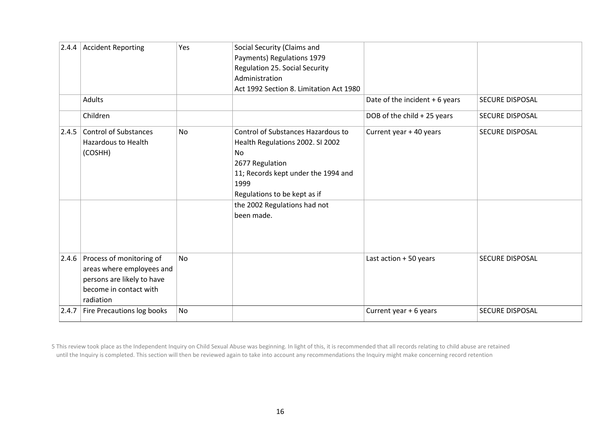|       | 2.4.4 Accident Reporting                                                                                                           | Yes       | Social Security (Claims and<br>Payments) Regulations 1979<br><b>Regulation 25. Social Security</b><br>Administration<br>Act 1992 Section 8. Limitation Act 1980                                                              |                                |                        |
|-------|------------------------------------------------------------------------------------------------------------------------------------|-----------|------------------------------------------------------------------------------------------------------------------------------------------------------------------------------------------------------------------------------|--------------------------------|------------------------|
|       | <b>Adults</b>                                                                                                                      |           |                                                                                                                                                                                                                              | Date of the incident + 6 years | <b>SECURE DISPOSAL</b> |
|       | Children                                                                                                                           |           |                                                                                                                                                                                                                              | DOB of the child + 25 years    | <b>SECURE DISPOSAL</b> |
| 2.4.5 | <b>Control of Substances</b><br><b>Hazardous to Health</b><br>(COSHH)                                                              | <b>No</b> | Control of Substances Hazardous to<br>Health Regulations 2002. SI 2002<br>No<br>2677 Regulation<br>11; Records kept under the 1994 and<br>1999<br>Regulations to be kept as if<br>the 2002 Regulations had not<br>been made. | Current year + 40 years        | <b>SECURE DISPOSAL</b> |
|       | $2.4.6$ Process of monitoring of<br>areas where employees and<br>persons are likely to have<br>become in contact with<br>radiation | <b>No</b> |                                                                                                                                                                                                                              | Last action + 50 years         | SECURE DISPOSAL        |
| 2.4.7 | Fire Precautions log books                                                                                                         | <b>No</b> |                                                                                                                                                                                                                              | Current year + 6 years         | <b>SECURE DISPOSAL</b> |

5 This review took place as the Independent Inquiry on Child Sexual Abuse was beginning. In light of this, it is recommended that all records relating to child abuse are retained until the Inquiry is completed. This section will then be reviewed again to take into account any recommendations the Inquiry might make concerning record retention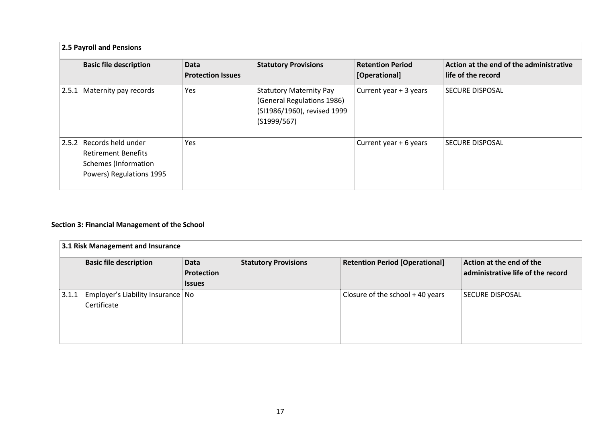| 2.5 Payroll and Pensions                                                                                     |                                         |                                                                                                            |                                          |                                                               |  |  |
|--------------------------------------------------------------------------------------------------------------|-----------------------------------------|------------------------------------------------------------------------------------------------------------|------------------------------------------|---------------------------------------------------------------|--|--|
| <b>Basic file description</b>                                                                                | <b>Data</b><br><b>Protection Issues</b> | <b>Statutory Provisions</b>                                                                                | <b>Retention Period</b><br>[Operational] | Action at the end of the administrative<br>life of the record |  |  |
| 2.5.1 Maternity pay records                                                                                  | Yes                                     | <b>Statutory Maternity Pay</b><br>(General Regulations 1986)<br>(SI1986/1960), revised 1999<br>(S1999/567) | Current year + 3 years                   | <b>SECURE DISPOSAL</b>                                        |  |  |
| 2.5.2   Records held under<br><b>Retirement Benefits</b><br>Schemes (Information<br>Powers) Regulations 1995 | Yes                                     |                                                                                                            | Current year + 6 years                   | <b>SECURE DISPOSAL</b>                                        |  |  |

#### **Section 3: Financial Management of the School**

<span id="page-16-0"></span>

|       | 3.1 Risk Management and Insurance                  |                                     |                             |                                       |                                                               |  |  |
|-------|----------------------------------------------------|-------------------------------------|-----------------------------|---------------------------------------|---------------------------------------------------------------|--|--|
|       | <b>Basic file description</b>                      | Data<br>Protection<br><b>Issues</b> | <b>Statutory Provisions</b> | <b>Retention Period [Operational]</b> | Action at the end of the<br>administrative life of the record |  |  |
| 3.1.1 | Employer's Liability Insurance   No<br>Certificate |                                     |                             | Closure of the school $+$ 40 years    | <b>SECURE DISPOSAL</b>                                        |  |  |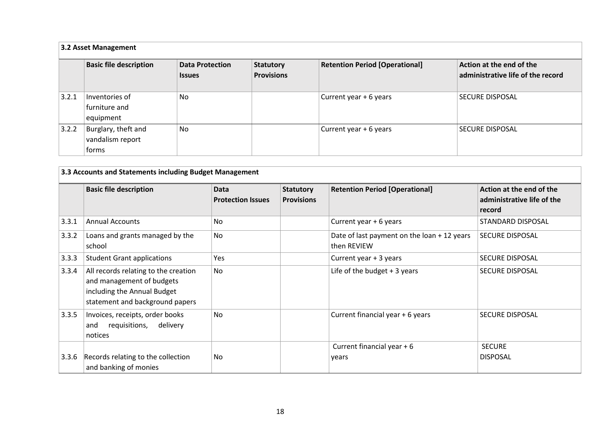| 3.2 Asset Management |                                                  |                                         |                                       |                                       |                                                               |  |
|----------------------|--------------------------------------------------|-----------------------------------------|---------------------------------------|---------------------------------------|---------------------------------------------------------------|--|
|                      | <b>Basic file description</b>                    | <b>Data Protection</b><br><b>Issues</b> | <b>Statutory</b><br><b>Provisions</b> | <b>Retention Period [Operational]</b> | Action at the end of the<br>administrative life of the record |  |
| 3.2.1                | Inventories of<br>furniture and<br>equipment     | No                                      |                                       | Current year + 6 years                | <b>SECURE DISPOSAL</b>                                        |  |
| 3.2.2                | Burglary, theft and<br>vandalism report<br>forms | No                                      |                                       | Current year + 6 years                | <b>SECURE DISPOSAL</b>                                        |  |

|       | 3.3 Accounts and Statements including Budget Management                                                                             |                                  |                                       |                                                            |                                                                  |  |
|-------|-------------------------------------------------------------------------------------------------------------------------------------|----------------------------------|---------------------------------------|------------------------------------------------------------|------------------------------------------------------------------|--|
|       | <b>Basic file description</b>                                                                                                       | Data<br><b>Protection Issues</b> | <b>Statutory</b><br><b>Provisions</b> | <b>Retention Period [Operational]</b>                      | Action at the end of the<br>administrative life of the<br>record |  |
| 3.3.1 | <b>Annual Accounts</b>                                                                                                              | No                               |                                       | Current year + 6 years                                     | STANDARD DISPOSAL                                                |  |
| 3.3.2 | Loans and grants managed by the<br>school                                                                                           | N <sub>o</sub>                   |                                       | Date of last payment on the loan + 12 years<br>then REVIEW | <b>SECURE DISPOSAL</b>                                           |  |
| 3.3.3 | <b>Student Grant applications</b>                                                                                                   | Yes                              |                                       | Current year + 3 years                                     | <b>SECURE DISPOSAL</b>                                           |  |
| 3.3.4 | All records relating to the creation<br>and management of budgets<br>including the Annual Budget<br>statement and background papers | No.                              |                                       | Life of the budget $+3$ years                              | <b>SECURE DISPOSAL</b>                                           |  |
| 3.3.5 | Invoices, receipts, order books<br>delivery<br>requisitions,<br>and<br>notices                                                      | No                               |                                       | Current financial year + 6 years                           | <b>SECURE DISPOSAL</b>                                           |  |
| 3.3.6 | Records relating to the collection<br>and banking of monies                                                                         | No                               |                                       | Current financial year + 6<br>years                        | <b>SECURE</b><br><b>DISPOSAL</b>                                 |  |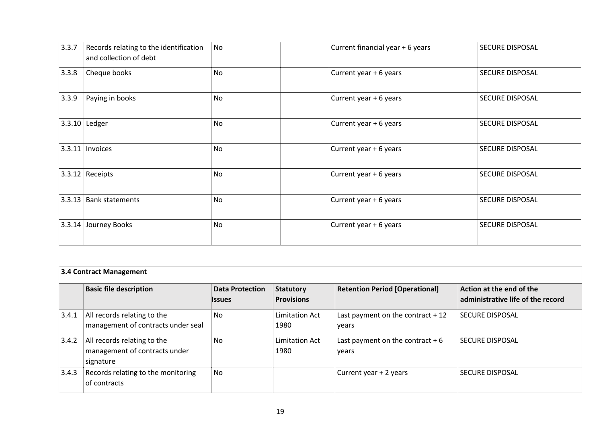| 3.3.7 | Records relating to the identification<br>and collection of debt | No        | Current financial year + 6 years | SECURE DISPOSAL        |
|-------|------------------------------------------------------------------|-----------|----------------------------------|------------------------|
| 3.3.8 | Cheque books                                                     | <b>No</b> | Current year + 6 years           | <b>SECURE DISPOSAL</b> |
| 3.3.9 | Paying in books                                                  | <b>No</b> | Current year + 6 years           | <b>SECURE DISPOSAL</b> |
|       | $3.3.10$ Ledger                                                  | No        | Current year + 6 years           | <b>SECURE DISPOSAL</b> |
|       | $3.3.11$   Invoices                                              | <b>No</b> | Current year + 6 years           | <b>SECURE DISPOSAL</b> |
|       | $3.3.12$ Receipts                                                | <b>No</b> | Current year + 6 years           | <b>SECURE DISPOSAL</b> |
|       | 3.3.13   Bank statements                                         | <b>No</b> | Current year + 6 years           | <b>SECURE DISPOSAL</b> |
|       | 3.3.14 Journey Books                                             | <b>No</b> | Current year + 6 years           | <b>SECURE DISPOSAL</b> |

| <b>3.4 Contract Management</b> |                                                                           |                                  |                                |                                             |                                                               |  |  |
|--------------------------------|---------------------------------------------------------------------------|----------------------------------|--------------------------------|---------------------------------------------|---------------------------------------------------------------|--|--|
|                                | <b>Basic file description</b>                                             | <b>Data Protection</b><br>Issues | Statutory<br><b>Provisions</b> | <b>Retention Period [Operational]</b>       | Action at the end of the<br>administrative life of the record |  |  |
| 3.4.1                          | All records relating to the<br>management of contracts under seal         | No                               | Limitation Act<br>1980         | Last payment on the contract $+12$<br>years | <b>SECURE DISPOSAL</b>                                        |  |  |
| 3.4.2                          | All records relating to the<br>management of contracts under<br>signature | <b>No</b>                        | <b>Limitation Act</b><br>1980  | Last payment on the contract $+6$<br>years  | SECURE DISPOSAL                                               |  |  |
| 3.4.3                          | Records relating to the monitoring<br>of contracts                        | <b>No</b>                        |                                | Current year + 2 years                      | <b>SECURE DISPOSAL</b>                                        |  |  |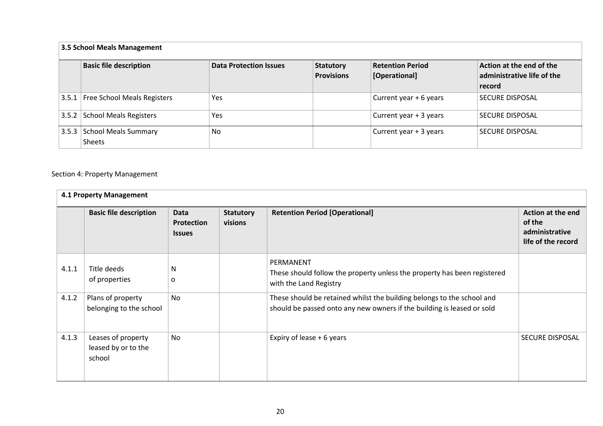| 3.5 School Meals Management |                                      |                               |                                       |                                          |                                                                  |  |  |  |  |
|-----------------------------|--------------------------------------|-------------------------------|---------------------------------------|------------------------------------------|------------------------------------------------------------------|--|--|--|--|
|                             | <b>Basic file description</b>        | <b>Data Protection Issues</b> | <b>Statutory</b><br><b>Provisions</b> | <b>Retention Period</b><br>[Operational] | Action at the end of the<br>administrative life of the<br>record |  |  |  |  |
|                             | 3.5.1   Free School Meals Registers  | Yes                           |                                       | Current year + 6 years                   | <b>SECURE DISPOSAL</b>                                           |  |  |  |  |
|                             | 3.5.2 School Meals Registers         | Yes                           |                                       | Current year + 3 years                   | <b>SECURE DISPOSAL</b>                                           |  |  |  |  |
|                             | 3.5.3 School Meals Summary<br>Sheets | <b>No</b>                     |                                       | Current year + 3 years                   | <b>SECURE DISPOSAL</b>                                           |  |  |  |  |

#### Section 4: Property Management

|       | 4.1 Property Management                             |                                            |                             |                                                                                                                                                  |                                                                     |  |  |  |
|-------|-----------------------------------------------------|--------------------------------------------|-----------------------------|--------------------------------------------------------------------------------------------------------------------------------------------------|---------------------------------------------------------------------|--|--|--|
|       | <b>Basic file description</b>                       | Data<br><b>Protection</b><br><b>Issues</b> | <b>Statutory</b><br>visions | <b>Retention Period [Operational]</b>                                                                                                            | Action at the end<br>of the<br>administrative<br>life of the record |  |  |  |
| 4.1.1 | Title deeds<br>of properties                        | N<br>o                                     |                             | PERMANENT<br>These should follow the property unless the property has been registered<br>with the Land Registry                                  |                                                                     |  |  |  |
| 4.1.2 | Plans of property<br>belonging to the school        | <b>No</b>                                  |                             | These should be retained whilst the building belongs to the school and<br>should be passed onto any new owners if the building is leased or sold |                                                                     |  |  |  |
| 4.1.3 | Leases of property<br>leased by or to the<br>school | No                                         |                             | Expiry of lease + 6 years                                                                                                                        | <b>SECURE DISPOSAL</b>                                              |  |  |  |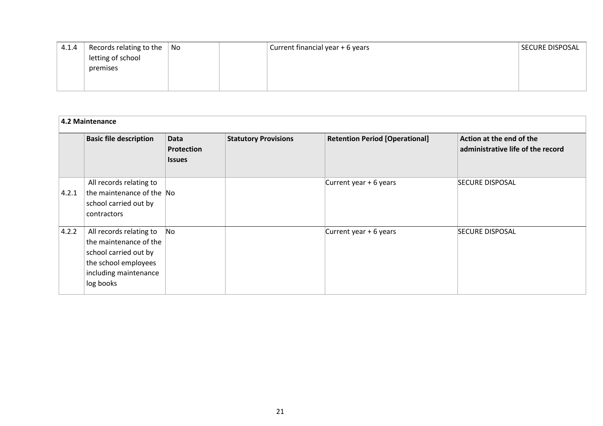| 4.1.4 | Records relating to the $\vert$ No | Current financial year + 6 years | SECURE DISPOSAL |
|-------|------------------------------------|----------------------------------|-----------------|
|       | letting of school                  |                                  |                 |
|       | premises                           |                                  |                 |
|       |                                    |                                  |                 |
|       |                                    |                                  |                 |

|       | 4.2 Maintenance                                                                                                                          |                                            |                             |                                       |                                                               |  |  |  |
|-------|------------------------------------------------------------------------------------------------------------------------------------------|--------------------------------------------|-----------------------------|---------------------------------------|---------------------------------------------------------------|--|--|--|
|       | <b>Basic file description</b>                                                                                                            | <b>Data</b><br>Protection<br><b>Issues</b> | <b>Statutory Provisions</b> | <b>Retention Period [Operational]</b> | Action at the end of the<br>administrative life of the record |  |  |  |
| 4.2.1 | All records relating to<br>the maintenance of the No<br>school carried out by<br>contractors                                             |                                            |                             | Current year + 6 years                | <b>SECURE DISPOSAL</b>                                        |  |  |  |
| 4.2.2 | All records relating to<br>the maintenance of the<br>school carried out by<br>the school employees<br>including maintenance<br>log books | No                                         |                             | Current year + 6 years                | <b>SECURE DISPOSAL</b>                                        |  |  |  |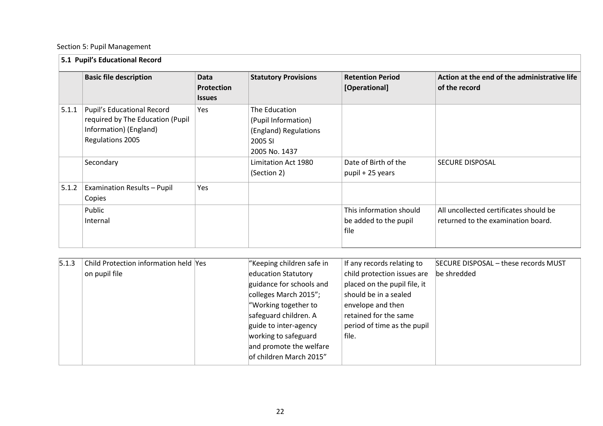#### Section 5: Pupil Management

|       | 5.1 Pupil's Educational Record                                                                               |                                     |                                                                                           |                                                          |                                                                              |  |  |  |
|-------|--------------------------------------------------------------------------------------------------------------|-------------------------------------|-------------------------------------------------------------------------------------------|----------------------------------------------------------|------------------------------------------------------------------------------|--|--|--|
|       | <b>Basic file description</b>                                                                                | Data<br>Protection<br><b>Issues</b> | <b>Statutory Provisions</b>                                                               | <b>Retention Period</b><br>[Operational]                 | Action at the end of the administrative life<br>of the record                |  |  |  |
| 5.1.1 | Pupil's Educational Record<br>required by The Education (Pupil<br>Information) (England)<br>Regulations 2005 | Yes                                 | The Education<br>(Pupil Information)<br>(England) Regulations<br>2005 SI<br>2005 No. 1437 |                                                          |                                                                              |  |  |  |
|       | Secondary                                                                                                    |                                     | Limitation Act 1980<br>(Section 2)                                                        | Date of Birth of the<br>pupil + 25 years                 | <b>SECURE DISPOSAL</b>                                                       |  |  |  |
| 5.1.2 | <b>Examination Results - Pupil</b><br>Copies                                                                 | Yes                                 |                                                                                           |                                                          |                                                                              |  |  |  |
|       | Public<br>Internal                                                                                           |                                     |                                                                                           | This information should<br>be added to the pupil<br>file | All uncollected certificates should be<br>returned to the examination board. |  |  |  |

| 5.1.3 | Child Protection information held Yes | "Keeping children safe in | If any records relating to   | SECURE DISPOSAL - these records MUST |
|-------|---------------------------------------|---------------------------|------------------------------|--------------------------------------|
|       | on pupil file                         | education Statutory       | child protection issues are  | be shredded                          |
|       |                                       | guidance for schools and  | placed on the pupil file, it |                                      |
|       |                                       | colleges March 2015";     | should be in a sealed        |                                      |
|       |                                       | "Working together to      | envelope and then            |                                      |
|       |                                       | safeguard children. A     | retained for the same        |                                      |
|       |                                       | guide to inter-agency     | period of time as the pupil  |                                      |
|       |                                       | working to safeguard      | file.                        |                                      |
|       |                                       | and promote the welfare   |                              |                                      |
|       |                                       | of children March 2015"   |                              |                                      |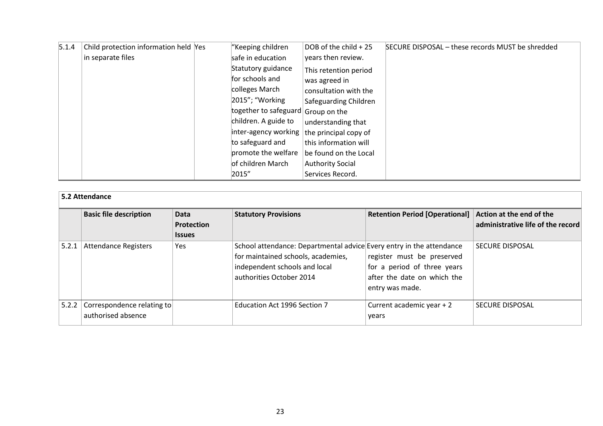| 5.1.4 | Child protection information held Yes | "Keeping children                                  | DOB of the child + 25   | SECURE DISPOSAL - these records MUST be shredded |
|-------|---------------------------------------|----------------------------------------------------|-------------------------|--------------------------------------------------|
|       | in separate files                     | safe in education                                  | years then review.      |                                                  |
|       |                                       | Statutory guidance                                 | This retention period   |                                                  |
|       |                                       | for schools and                                    | was agreed in           |                                                  |
|       |                                       | colleges March                                     | consultation with the   |                                                  |
|       |                                       | 2015"; "Working                                    | Safeguarding Children   |                                                  |
|       |                                       | together to safeguard Group on the                 |                         |                                                  |
|       |                                       | children. A guide to                               | understanding that      |                                                  |
|       |                                       | $ $ inter-agency working $ $ the principal copy of |                         |                                                  |
|       |                                       | to safeguard and                                   | this information will   |                                                  |
|       |                                       | promote the welfare                                | be found on the Local   |                                                  |
|       |                                       | of children March                                  | <b>Authority Social</b> |                                                  |
|       |                                       | 2015"                                              | Services Record.        |                                                  |

|       | 5.2 Attendance                                   |                                            |                                                                                                                                                                         |                                                                                                             |                                   |  |  |  |  |
|-------|--------------------------------------------------|--------------------------------------------|-------------------------------------------------------------------------------------------------------------------------------------------------------------------------|-------------------------------------------------------------------------------------------------------------|-----------------------------------|--|--|--|--|
|       | <b>Basic file description</b>                    | Data<br><b>Protection</b><br><b>Issues</b> | <b>Statutory Provisions</b>                                                                                                                                             | Retention Period [Operational] Action at the end of the                                                     | administrative life of the record |  |  |  |  |
| 5.2.1 | Attendance Registers                             | Yes                                        | School attendance: Departmental advice Every entry in the attendance<br>for maintained schools, academies,<br>independent schools and local<br>authorities October 2014 | register must be preserved<br>for a period of three years<br>after the date on which the<br>entry was made. | <b>SECURE DISPOSAL</b>            |  |  |  |  |
| 5.2.2 | Correspondence relating to<br>authorised absence |                                            | Education Act 1996 Section 7                                                                                                                                            | Current academic year + 2<br>years                                                                          | <b>SECURE DISPOSAL</b>            |  |  |  |  |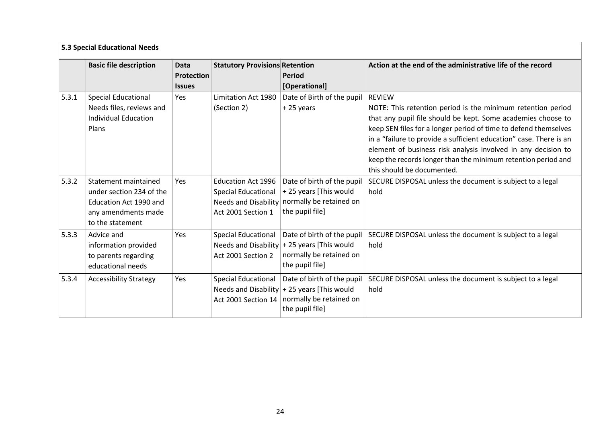<span id="page-23-0"></span>

|       | 5.3 Special Educational Needs                                                                                         |                                                   |                                                                                                              |                                                                                                                           |                                                                                                                                                                                                                                                                                                                                                                                                                                                       |  |  |
|-------|-----------------------------------------------------------------------------------------------------------------------|---------------------------------------------------|--------------------------------------------------------------------------------------------------------------|---------------------------------------------------------------------------------------------------------------------------|-------------------------------------------------------------------------------------------------------------------------------------------------------------------------------------------------------------------------------------------------------------------------------------------------------------------------------------------------------------------------------------------------------------------------------------------------------|--|--|
|       | <b>Basic file description</b>                                                                                         | <b>Data</b><br><b>Protection</b><br><b>Issues</b> | <b>Statutory Provisions Retention</b>                                                                        | <b>Period</b><br>[Operational]                                                                                            | Action at the end of the administrative life of the record                                                                                                                                                                                                                                                                                                                                                                                            |  |  |
| 5.3.1 | <b>Special Educational</b><br>Needs files, reviews and<br><b>Individual Education</b><br>Plans                        | Yes                                               | <b>Limitation Act 1980</b><br>(Section 2)                                                                    | Date of Birth of the pupil<br>+25 years                                                                                   | <b>REVIEW</b><br>NOTE: This retention period is the minimum retention period<br>that any pupil file should be kept. Some academies choose to<br>keep SEN files for a longer period of time to defend themselves<br>in a "failure to provide a sufficient education" case. There is an<br>element of business risk analysis involved in any decision to<br>keep the records longer than the minimum retention period and<br>this should be documented. |  |  |
| 5.3.2 | Statement maintained<br>under section 234 of the<br>Education Act 1990 and<br>any amendments made<br>to the statement | Yes                                               | <b>Education Act 1996</b><br><b>Special Educational</b><br><b>Needs and Disability</b><br>Act 2001 Section 1 | Date of birth of the pupil<br>+25 years [This would<br>normally be retained on<br>the pupil file]                         | SECURE DISPOSAL unless the document is subject to a legal<br>hold                                                                                                                                                                                                                                                                                                                                                                                     |  |  |
| 5.3.3 | Advice and<br>information provided<br>to parents regarding<br>educational needs                                       | Yes                                               | <b>Special Educational</b><br>Act 2001 Section 2                                                             | Date of birth of the pupil<br>Needs and Disability $+25$ years [This would<br>normally be retained on<br>the pupil file]  | SECURE DISPOSAL unless the document is subject to a legal<br>hold                                                                                                                                                                                                                                                                                                                                                                                     |  |  |
| 5.3.4 | <b>Accessibility Strategy</b>                                                                                         | Yes                                               | <b>Special Educational</b><br>Act 2001 Section 14                                                            | Date of birth of the pupil<br>Needs and Disability $+$ 25 years [This would<br>normally be retained on<br>the pupil file] | SECURE DISPOSAL unless the document is subject to a legal<br>hold                                                                                                                                                                                                                                                                                                                                                                                     |  |  |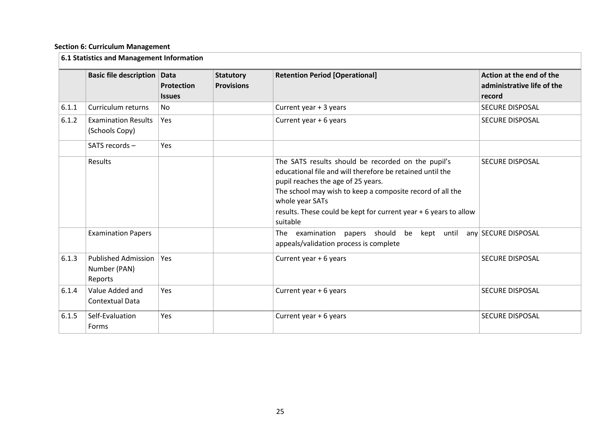#### **Section 6: Curriculum Management**

|       | 6.1 Statistics and Management Information             |                             |                                       |                                                                                                                                                                                                                                                                                                                       |                                                                  |  |  |  |
|-------|-------------------------------------------------------|-----------------------------|---------------------------------------|-----------------------------------------------------------------------------------------------------------------------------------------------------------------------------------------------------------------------------------------------------------------------------------------------------------------------|------------------------------------------------------------------|--|--|--|
|       | <b>Basic file description Data</b>                    | Protection<br><b>Issues</b> | <b>Statutory</b><br><b>Provisions</b> | <b>Retention Period [Operational]</b>                                                                                                                                                                                                                                                                                 | Action at the end of the<br>administrative life of the<br>record |  |  |  |
| 6.1.1 | Curriculum returns                                    | <b>No</b>                   |                                       | Current year + 3 years                                                                                                                                                                                                                                                                                                | <b>SECURE DISPOSAL</b>                                           |  |  |  |
| 6.1.2 | <b>Examination Results</b><br>(Schools Copy)          | Yes                         |                                       | Current year + 6 years                                                                                                                                                                                                                                                                                                | SECURE DISPOSAL                                                  |  |  |  |
|       | SATS records -                                        | Yes                         |                                       |                                                                                                                                                                                                                                                                                                                       |                                                                  |  |  |  |
|       | Results                                               |                             |                                       | The SATS results should be recorded on the pupil's<br>educational file and will therefore be retained until the<br>pupil reaches the age of 25 years.<br>The school may wish to keep a composite record of all the<br>whole year SATs<br>results. These could be kept for current year + 6 years to allow<br>suitable | <b>SECURE DISPOSAL</b>                                           |  |  |  |
|       | <b>Examination Papers</b>                             |                             |                                       | The examination<br>papers should be<br>kept until<br>appeals/validation process is complete                                                                                                                                                                                                                           | any SECURE DISPOSAL                                              |  |  |  |
| 6.1.3 | <b>Published Admission</b><br>Number (PAN)<br>Reports | Yes                         |                                       | Current year + 6 years                                                                                                                                                                                                                                                                                                | <b>SECURE DISPOSAL</b>                                           |  |  |  |
| 6.1.4 | Value Added and<br><b>Contextual Data</b>             | Yes                         |                                       | Current year + 6 years                                                                                                                                                                                                                                                                                                | <b>SECURE DISPOSAL</b>                                           |  |  |  |
| 6.1.5 | Self-Evaluation<br>Forms                              | Yes                         |                                       | Current year + 6 years                                                                                                                                                                                                                                                                                                | <b>SECURE DISPOSAL</b>                                           |  |  |  |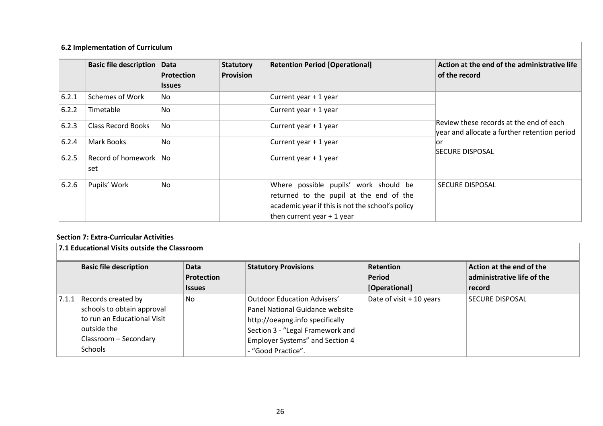|       | 6.2 Implementation of Curriculum |                                                   |                                      |                                                                                                                                                                     |                                                                                         |  |  |  |
|-------|----------------------------------|---------------------------------------------------|--------------------------------------|---------------------------------------------------------------------------------------------------------------------------------------------------------------------|-----------------------------------------------------------------------------------------|--|--|--|
|       | <b>Basic file description</b>    | <b>Data</b><br><b>Protection</b><br><b>Issues</b> | <b>Statutory</b><br><b>Provision</b> | <b>Retention Period [Operational]</b>                                                                                                                               | Action at the end of the administrative life<br>of the record                           |  |  |  |
| 6.2.1 | Schemes of Work                  | No                                                |                                      | Current year + 1 year                                                                                                                                               |                                                                                         |  |  |  |
| 6.2.2 | Timetable                        | No.                                               |                                      | Current year + 1 year                                                                                                                                               |                                                                                         |  |  |  |
| 6.2.3 | <b>Class Record Books</b>        | No                                                |                                      | Current year + 1 year                                                                                                                                               | Review these records at the end of each<br>year and allocate a further retention period |  |  |  |
| 6.2.4 | Mark Books                       | No.                                               |                                      | Current year + 1 year                                                                                                                                               | lor<br> SECURE DISPOSAL                                                                 |  |  |  |
| 6.2.5 | Record of homework   No<br>set   |                                                   |                                      | Current year + 1 year                                                                                                                                               |                                                                                         |  |  |  |
| 6.2.6 | Pupils' Work                     | No                                                |                                      | Where possible pupils' work should be<br>returned to the pupil at the end of the<br>academic year if this is not the school's policy<br>then current year $+1$ year | <b>SECURE DISPOSAL</b>                                                                  |  |  |  |

#### **Section 7: Extra-Curricular Activities**

<span id="page-25-0"></span>

|       | 7.1 Educational Visits outside the Classroom |                    |                                  |                            |                                                        |  |  |  |  |
|-------|----------------------------------------------|--------------------|----------------------------------|----------------------------|--------------------------------------------------------|--|--|--|--|
|       | <b>Basic file description</b>                | Data<br>Protection | <b>Statutory Provisions</b>      | <b>Retention</b><br>Period | Action at the end of the<br>administrative life of the |  |  |  |  |
|       |                                              |                    |                                  |                            |                                                        |  |  |  |  |
|       |                                              | <b>Issues</b>      |                                  | [Operational]              | record                                                 |  |  |  |  |
| 7.1.1 | Records created by                           | No.                | Outdoor Education Advisers'      | Date of visit + 10 years   | <b>SECURE DISPOSAL</b>                                 |  |  |  |  |
|       | schools to obtain approval                   |                    | Panel National Guidance website  |                            |                                                        |  |  |  |  |
|       | to run an Educational Visit                  |                    | http://oeapng.info specifically  |                            |                                                        |  |  |  |  |
|       | outside the                                  |                    | Section 3 - "Legal Framework and |                            |                                                        |  |  |  |  |
|       | Classroom - Secondary                        |                    | Employer Systems" and Section 4  |                            |                                                        |  |  |  |  |
|       | Schools                                      |                    | - "Good Practice".               |                            |                                                        |  |  |  |  |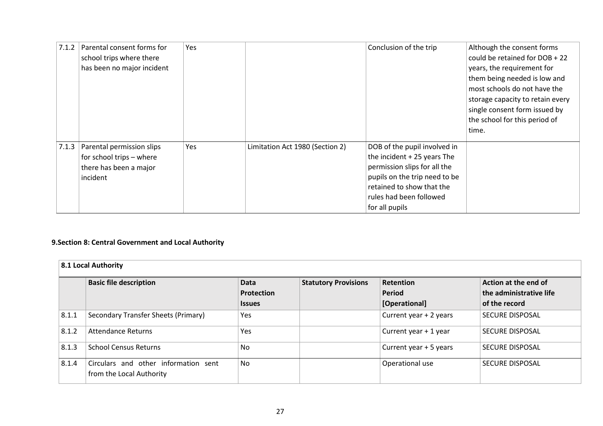| 7.1.2 | Parental consent forms for        | Yes |                                 | Conclusion of the trip        | Although the consent forms       |
|-------|-----------------------------------|-----|---------------------------------|-------------------------------|----------------------------------|
|       | school trips where there          |     |                                 |                               | could be retained for DOB + 22   |
|       | has been no major incident        |     |                                 |                               | years, the requirement for       |
|       |                                   |     |                                 |                               | them being needed is low and     |
|       |                                   |     |                                 |                               | most schools do not have the     |
|       |                                   |     |                                 |                               | storage capacity to retain every |
|       |                                   |     |                                 |                               | single consent form issued by    |
|       |                                   |     |                                 |                               | the school for this period of    |
|       |                                   |     |                                 |                               | time.                            |
|       | 7.1.3   Parental permission slips | Yes | Limitation Act 1980 (Section 2) | DOB of the pupil involved in  |                                  |
|       | for school trips - where          |     |                                 | the incident $+25$ years The  |                                  |
|       | there has been a major            |     |                                 | permission slips for all the  |                                  |
|       | incident                          |     |                                 | pupils on the trip need to be |                                  |
|       |                                   |     |                                 | retained to show that the     |                                  |
|       |                                   |     |                                 | rules had been followed       |                                  |
|       |                                   |     |                                 | for all pupils                |                                  |

#### **9.Section 8: Central Government and Local Authority**

<span id="page-26-0"></span>

| 8.1 Local Authority |                                                                  |                                            |                             |                                                    |                                                                  |  |  |
|---------------------|------------------------------------------------------------------|--------------------------------------------|-----------------------------|----------------------------------------------------|------------------------------------------------------------------|--|--|
|                     | <b>Basic file description</b>                                    | <b>Data</b><br>Protection<br><b>Issues</b> | <b>Statutory Provisions</b> | <b>Retention</b><br><b>Period</b><br>[Operational] | Action at the end of<br>the administrative life<br>of the record |  |  |
| 8.1.1               | Secondary Transfer Sheets (Primary)                              | Yes                                        |                             | Current year + 2 years                             | <b>SECURE DISPOSAL</b>                                           |  |  |
| 8.1.2               | Attendance Returns                                               | Yes                                        |                             | Current year + 1 year                              | SECURE DISPOSAL                                                  |  |  |
| 8.1.3               | <b>School Census Returns</b>                                     | <b>No</b>                                  |                             | Current year + 5 years                             | <b>SECURE DISPOSAL</b>                                           |  |  |
| 8.1.4               | Circulars and other information sent<br>from the Local Authority | <b>No</b>                                  |                             | Operational use                                    | <b>SECURE DISPOSAL</b>                                           |  |  |